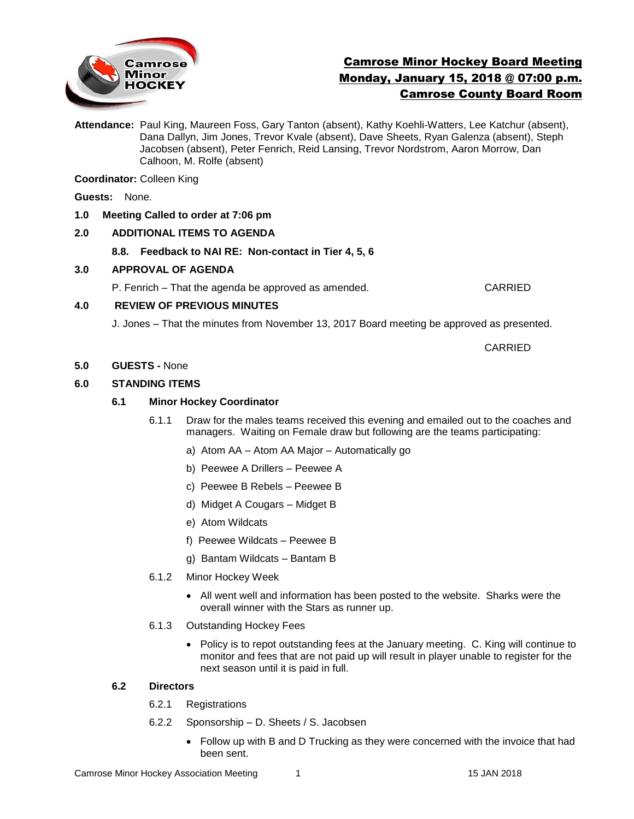

# Camrose Minor Hockey Board Meeting Monday, January 15, 2018 @ 07:00 p.m. Camrose County Board Room

**Attendance:** Paul King, Maureen Foss, Gary Tanton (absent), Kathy Koehli-Watters, Lee Katchur (absent), Dana Dallyn, Jim Jones, Trevor Kvale (absent), Dave Sheets, Ryan Galenza (absent), Steph Jacobsen (absent), Peter Fenrich, Reid Lansing, Trevor Nordstrom, Aaron Morrow, Dan Calhoon, M. Rolfe (absent)

**Coordinator:** Colleen King

**Guests:** None.

#### **1.0 Meeting Called to order at 7:06 pm**

### **2.0 ADDITIONAL ITEMS TO AGENDA**

**8.8. Feedback to NAI RE: Non-contact in Tier 4, 5, 6** 

#### **3.0 APPROVAL OF AGENDA**

P. Fenrich – That the agenda be approved as amended. CARRIED

#### **4.0 REVIEW OF PREVIOUS MINUTES**

J. Jones – That the minutes from November 13, 2017 Board meeting be approved as presented.

CARRIED

#### **5.0 GUESTS -** None

### **6.0 STANDING ITEMS**

### **6.1 Minor Hockey Coordinator**

- 6.1.1 Draw for the males teams received this evening and emailed out to the coaches and managers. Waiting on Female draw but following are the teams participating:
	- a) Atom AA Atom AA Major Automatically go
	- b) Peewee A Drillers Peewee A
	- c) Peewee B Rebels Peewee B
	- d) Midget A Cougars Midget B
	- e) Atom Wildcats
	- f) Peewee Wildcats Peewee B
	- g) Bantam Wildcats Bantam B
- 6.1.2 Minor Hockey Week
	- All went well and information has been posted to the website. Sharks were the overall winner with the Stars as runner up.
- 6.1.3 Outstanding Hockey Fees
	- Policy is to repot outstanding fees at the January meeting. C. King will continue to monitor and fees that are not paid up will result in player unable to register for the next season until it is paid in full.

### **6.2 Directors**

- 6.2.1 Registrations
- 6.2.2 Sponsorship D. Sheets / S. Jacobsen
	- Follow up with B and D Trucking as they were concerned with the invoice that had been sent.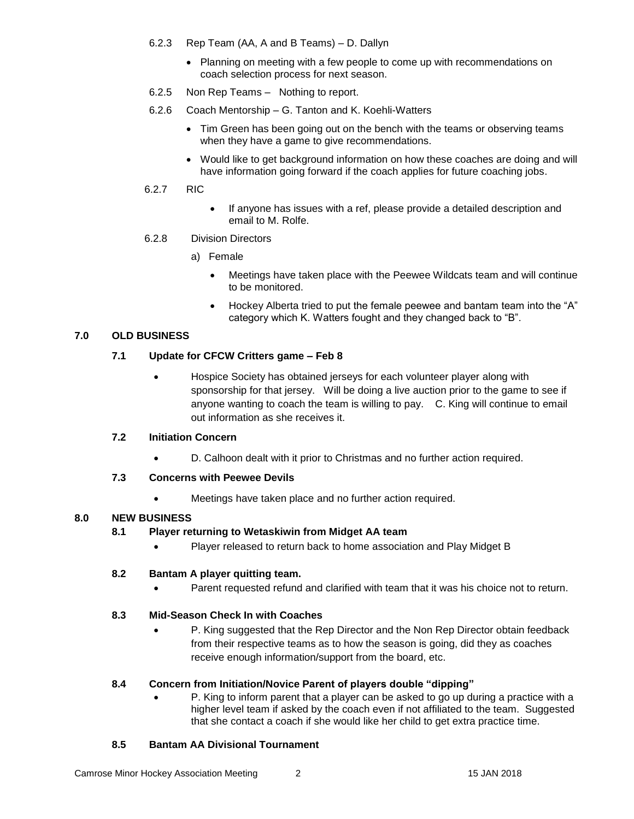- 6.2.3 Rep Team (AA, A and B Teams) D. Dallyn
	- Planning on meeting with a few people to come up with recommendations on coach selection process for next season.
- 6.2.5 Non Rep Teams Nothing to report.
- 6.2.6 Coach Mentorship G. Tanton and K. Koehli-Watters
	- Tim Green has been going out on the bench with the teams or observing teams when they have a game to give recommendations.
	- Would like to get background information on how these coaches are doing and will have information going forward if the coach applies for future coaching jobs.
- 6.2.7 RIC
- If anyone has issues with a ref, please provide a detailed description and email to M. Rolfe.
- 6.2.8 Division Directors
	- a) Female
		- Meetings have taken place with the Peewee Wildcats team and will continue to be monitored.
		- Hockey Alberta tried to put the female peewee and bantam team into the "A" category which K. Watters fought and they changed back to "B".

### **7.0 OLD BUSINESS**

### **7.1 Update for CFCW Critters game – Feb 8**

 Hospice Society has obtained jerseys for each volunteer player along with sponsorship for that jersey. Will be doing a live auction prior to the game to see if anyone wanting to coach the team is willing to pay. C. King will continue to email out information as she receives it.

### **7.2 Initiation Concern**

D. Calhoon dealt with it prior to Christmas and no further action required.

### **7.3 Concerns with Peewee Devils**

Meetings have taken place and no further action required.

# **8.0 NEW BUSINESS**

### **8.1 Player returning to Wetaskiwin from Midget AA team**

• Player released to return back to home association and Play Midget B

### **8.2 Bantam A player quitting team.**

Parent requested refund and clarified with team that it was his choice not to return.

### **8.3 Mid-Season Check In with Coaches**

 P. King suggested that the Rep Director and the Non Rep Director obtain feedback from their respective teams as to how the season is going, did they as coaches receive enough information/support from the board, etc.

### **8.4 Concern from Initiation/Novice Parent of players double "dipping"**

 P. King to inform parent that a player can be asked to go up during a practice with a higher level team if asked by the coach even if not affiliated to the team. Suggested that she contact a coach if she would like her child to get extra practice time.

### **8.5 Bantam AA Divisional Tournament**